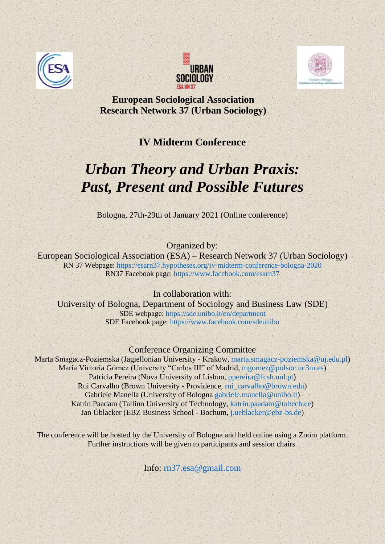





**European Sociological Association Research Network 37 (Urban Sociology)** 

## **IV Midterm Conference**

## *Urban Theory and Urban Praxis: Past, Present and Possible Futures*

Bologna, 27th-29th of January 2021 (Online conference)

## Organized by:

European Sociological Association (ESA) – Research Network 37 (Urban Sociology) RN 37 Webpage:<https://esarn37.hypotheses.org/iv-midterm-conference-bologna-2020> RN37 Facebook page:<https://www.facebook.com/esarn37>

## In collaboration with:

University of Bologna, Department of Sociology and Business Law (SDE) SDE webpage: <https://sde.unibo.it/en/department> SDE Facebook page:<https://www.facebook.com/sdeunibo>

### Conference Organizing Committee

Marta Smagacz-Poziemska (Jagiellonian University - Krakow, [marta.smagacz-poziemska@uj.edu.pl\)](mailto:marta.smagacz-poziemska@uj.edu.pl) Maria Victoria Gómez (University "Carlos III" of Madrid, [mgomez@polsoc.uc3m.es\)](mailto:mgomez@polsoc.uc3m.es) Patricia Pereira (Nova University of Lisbon, [ppereira@fcsh.unl.pt](mailto:ppereira@fcsh.unl.pt)) Rui Carvalho (Brown University - Providence, [rui\\_carvalho@brown.edu\)](mailto:rui_carvalho@brown.edu) Gabriele Manella (University of Bologna [gabriele.manella@unibo.it\)](mailto:gabriele.manella@unibo.it) Katrin Paadam (Tallinn University of Technology, [katrin.paadam@taltech.ee\)](mailto:katrin.paadam@taltech.ee) Jan Üblacker (EBZ Business School - Bochum, [j.ueblacker@ebz-bs.de\)](mailto:j.ueblacker@ebz-bs.de)

The conference will be hosted by the University of Bologna and held online using a Zoom platform. Further instructions will be given to participants and session chairs.

Info: [rn37.esa@gmail.com](mailto:rn37.esa@gmail.com)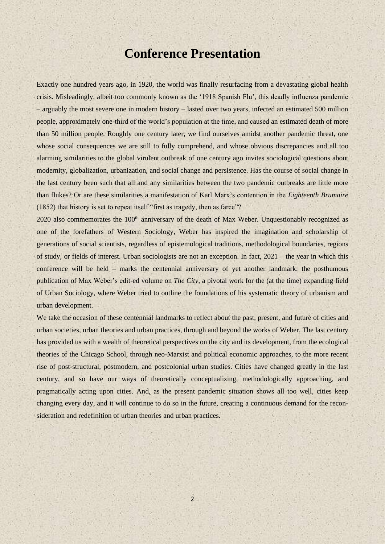## **Conference Presentation**

Exactly one hundred years ago, in 1920, the world was finally resurfacing from a devastating global health crisis. Misleadingly, albeit too commonly known as the '1918 Spanish Flu', this deadly influenza pandemic – arguably the most severe one in modern history – lasted over two years, infected an estimated 500 million people, approximately one-third of the world's population at the time, and caused an estimated death of more than 50 million people. Roughly one century later, we find ourselves amidst another pandemic threat, one whose social consequences we are still to fully comprehend, and whose obvious discrepancies and all too alarming similarities to the global virulent outbreak of one century ago invites sociological questions about modernity, globalization, urbanization, and social change and persistence. Has the course of social change in the last century been such that all and any similarities between the two pandemic outbreaks are little more than flukes? Or are these similarities a manifestation of Karl Marx's contention in the *Eighteenth Brumaire* (1852) that history is set to repeat itself "first as tragedy, then as farce"?

2020 also commemorates the 100<sup>th</sup> anniversary of the death of Max Weber. Unquestionably recognized as one of the forefathers of Western Sociology, Weber has inspired the imagination and scholarship of generations of social scientists, regardless of epistemological traditions, methodological boundaries, regions of study, or fields of interest. Urban sociologists are not an exception. In fact, 2021 – the year in which this conference will be held – marks the centennial anniversary of yet another landmark: the posthumous publication of Max Weber's edit-ed volume on *The City*, a pivotal work for the (at the time) expanding field of Urban Sociology, where Weber tried to outline the foundations of his systematic theory of urbanism and urban development.

We take the occasion of these centennial landmarks to reflect about the past, present, and future of cities and urban societies, urban theories and urban practices, through and beyond the works of Weber. The last century has provided us with a wealth of theoretical perspectives on the city and its development, from the ecological theories of the Chicago School, through neo-Marxist and political economic approaches, to the more recent rise of post-structural, postmodern, and postcolonial urban studies. Cities have changed greatly in the last century, and so have our ways of theoretically conceptualizing, methodologically approaching, and pragmatically acting upon cities. And, as the present pandemic situation shows all too well, cities keep changing every day, and it will continue to do so in the future, creating a continuous demand for the reconsideration and redefinition of urban theories and urban practices.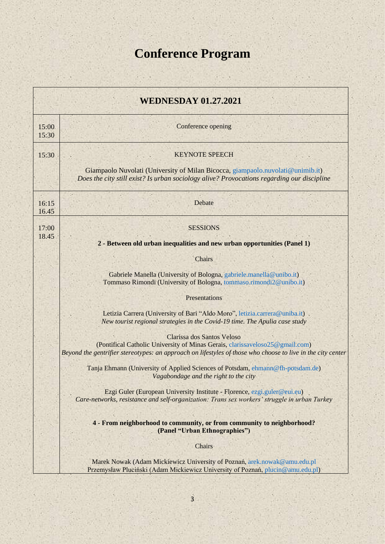# **Conference Program**

a.

 $\mathbb{R}^2$ 

| <b>WEDNESDAY 01.27.2021</b> |                                                                                                                                                                                                                           |
|-----------------------------|---------------------------------------------------------------------------------------------------------------------------------------------------------------------------------------------------------------------------|
| 15:00<br>15:30              | Conference opening                                                                                                                                                                                                        |
| 15:30                       | <b>KEYNOTE SPEECH</b>                                                                                                                                                                                                     |
|                             | Giampaolo Nuvolati (University of Milan Bicocca, giampaolo nuvolati @unimib.it)<br>Does the city still exist? Is urban sociology alive? Provocations regarding our discipline                                             |
| 16:15<br>16.45              | Debate                                                                                                                                                                                                                    |
| 17:00<br>18.45              | <b>SESSIONS</b>                                                                                                                                                                                                           |
|                             | 2 - Between old urban inequalities and new urban opportunities (Panel 1)                                                                                                                                                  |
|                             | Chairs                                                                                                                                                                                                                    |
|                             | Gabriele Manella (University of Bologna, gabriele manella@unibo.it)<br>Tommaso Rimondi (University of Bologna, tommaso.rimondi2@unibo.it)                                                                                 |
|                             | Presentations                                                                                                                                                                                                             |
|                             | Letizia Carrera (University of Bari "Aldo Moro", letizia.carrera@uniba.it)<br>New tourist regional strategies in the Covid-19 time. The Apulia case study                                                                 |
|                             | Clarissa dos Santos Veloso<br>(Pontifical Catholic University of Minas Gerais, clarissaveloso25@gmail.com)<br>Beyond the gentrifier stereotypes: an approach on lifestyles of those who choose to live in the city center |
|                             | Tanja Ehmann (University of Applied Sciences of Potsdam, ehmann@fh-potsdam.de)<br>Vagabondage and the right to the city                                                                                                   |
|                             | Ezgi Guler (European University Institute - Florence, ezgi.guler@eui.eu)<br>Care-networks, resistance and self-organization: Trans sex workers' struggle in urban Turkey                                                  |
|                             | 4 - From neighborhood to community, or from community to neighborhood?<br>(Panel "Urban Ethnographies")                                                                                                                   |
|                             | Chairs                                                                                                                                                                                                                    |
|                             | Marek Nowak (Adam Mickiewicz University of Poznań, arek.nowak@amu.edu.pl<br>Przemysław Pluciński (Adam Mickiewicz University of Poznań, plucin@amu.edu.pl)                                                                |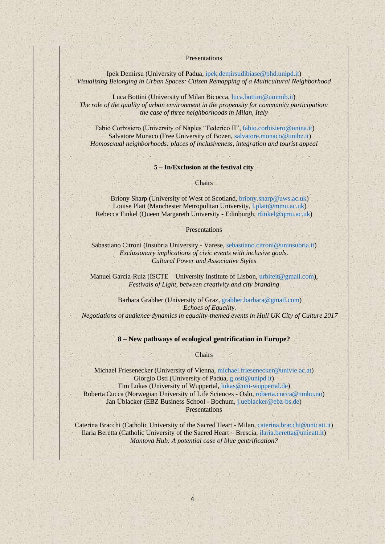**Presentations** 

Ipek Demirsu (University of Padua[, ipek.demirsudibiase@phd.unipd.it\)](mailto:ipek.demirsudibiase@phd.unipd.it) *Visualizing Belonging in Urban Spaces: Citizen Remapping of a Multicultural Neighborhood*

Luca Bottini (University of Milan Bicocca, [luca.bottini@unimib.it\)](mailto:luca.bottini@unimib.it) *The role of the quality of urban environment in the propensity for community participation: the case of three neighborhoods in Milan, Italy*

Fabio Corbisiero (University of Naples "Federico II", [fabio.corbisiero@unina.it\)](mailto:fabio.corbisiero@unina.it) Salvatore Monaco (Free University of Bozen, [salvatore.monaco@unibz.it\)](mailto:salvatore.monaco@unibz.it) *Homosexual neighborhoods: places of inclusiveness, integration and tourist appeal*

#### **5 – In/Exclusion at the festival city**

**Chairs** 

Briony Sharp (University of West of Scotland[, briony.sharp@uws.ac.uk\)](mailto:briony.sharp@uws.ac.uk) Louise Platt (Manchester Metropolitan University, [l.platt@mmu.ac.uk\)](mailto:l.platt@mmu.ac.uk) Rebecca Finkel (Queen Margareth University - Edinburgh, [rfinkel@qmu.ac.uk\)](mailto:rfinkel@qmu.ac.uk)

#### Presentations

Sabastiano Citroni (Insubria University - Varese, [sebastiano.citroni@uninsubria.it\)](mailto:sebastiano.citroni@uninsubria.it) *Exclusionary implications of civic events with inclusive goals. Cultural Power and Associative Styles*

Manuel Garcia-Ruiz (ISCTE – University Institute of Lisbon, [urbiteit@gmail.com\)](mailto:urbiteit@gmail.com), *Festivals of Light, between creativity and city branding*

Barbara Grabher (University of Graz[, grabher.barbara@gmail.com\)](mailto:grabher.barbara@gmail.com) *Echoes of Equality. Negotiations of audience dynamics in equality-themed events in Hull UK City of Culture 2017*

#### **8 – New pathways of ecological gentrification in Europe?**

Chairs

Michael Friesenecker (University of Vienna, [michael.friesenecker@univie.ac.at\)](mailto:michael.friesenecker@univie.ac.at) Giorgio Osti (University of Padua, [g.osti@unipd.it\)](mailto:g.osti@unipd.it) Tim Lukas (University of Wuppertal, [lukas@uni-wuppertal.de\)](mailto:lukas@uni-wuppertal.de) Roberta Cucca (Norwegian University of Life Sciences - Oslo, [roberta.cucca@nmbu.no\)](mailto:roberta.cucca@nmbu.no) Jan Üblacker (EBZ Business School - Bochum, [j.ueblacker@ebz-bs.de\)](mailto:j.ueblacker@ebz-bs.de) **Presentations** 

Caterina Bracchi (Catholic University of the Sacred Heart - Milan, [caterina.bracchi@unicatt.it\)](mailto:caterina.bracchi@unicatt.it) Ilaria Beretta (Catholic University of the Sacred Heart – Brescia, [ilaria.beretta@unicatt.it\)](mailto:ilaria.beretta@unicatt.it) *Mantova Hub: A potential case of blue gentrification?*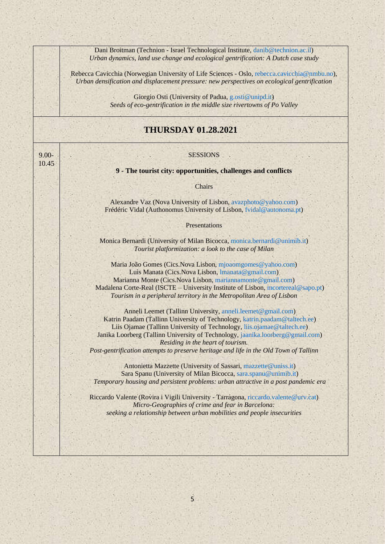|                   | Dani Broitman (Technion - Israel Technological Institute, danib@technion.ac.il)<br>Urban dynamics, land use change and ecological gentrification: A Dutch case study                                                                                                                                                                                                                                                                |  |  |
|-------------------|-------------------------------------------------------------------------------------------------------------------------------------------------------------------------------------------------------------------------------------------------------------------------------------------------------------------------------------------------------------------------------------------------------------------------------------|--|--|
|                   | Rebecca Cavicchia (Norwegian University of Life Sciences - Oslo, rebecca.cavicchia@nmbu.no),<br>Urban densification and displacement pressure: new perspectives on ecological gentrification                                                                                                                                                                                                                                        |  |  |
|                   | Giorgio Osti (University of Padua, g.osti@unipd.it)<br>Seeds of eco-gentrification in the middle size rivertowns of Po Valley                                                                                                                                                                                                                                                                                                       |  |  |
|                   | <b>THURSDAY 01.28.2021</b>                                                                                                                                                                                                                                                                                                                                                                                                          |  |  |
| $9.00 -$<br>10.45 | <b>SESSIONS</b>                                                                                                                                                                                                                                                                                                                                                                                                                     |  |  |
|                   | 9 - The tourist city: opportunities, challenges and conflicts                                                                                                                                                                                                                                                                                                                                                                       |  |  |
|                   | Chairs                                                                                                                                                                                                                                                                                                                                                                                                                              |  |  |
|                   | Alexandre Vaz (Nova University of Lisbon, avazphoto@yahoo.com)<br>Frédéric Vidal (Authonomus University of Lisbon, fvidal@autonoma.pt)                                                                                                                                                                                                                                                                                              |  |  |
|                   | Presentations                                                                                                                                                                                                                                                                                                                                                                                                                       |  |  |
|                   | Monica Bernardi (University of Milan Bicocca, monica.bernardi@unimib.it)<br>Tourist platformization: a look to the case of Milan                                                                                                                                                                                                                                                                                                    |  |  |
|                   | Maria João Gomes (Cics.Nova Lisbon, mjoaomgomes@yahoo.com)<br>Luìs Manata (Cics.Nova Lisbon, Imanata@gmail.com)<br>Marianna Monte (Cics.Nova Lisbon, mariannamonte@gmail.com)<br>Madalena Corte-Real (ISCTE – University Institute of Lisbon, mcortereal@sapo.pt)<br>Tourism in a peripheral territory in the Metropolitan Area of Lisbon                                                                                           |  |  |
|                   | Anneli Leemet (Tallinn University, anneli.leemet@gmail.com)<br>Katrin Paadam (Tallinn University of Technology, katrin.paadam@taltech.ee)<br>Liis Ojamae (Tallinn University of Technology, liis.ojamae@taltech.ee)<br>Janika Loorberg (Tallinn University of Technology, jaanika.loorberg@gmail.com)<br>Residing in the heart of tourism.<br>Post-gentrification attempts to preserve heritage and life in the Old Town of Tallinn |  |  |
|                   | Antonietta Mazzette (University of Sassari, mazzette@uniss.it)<br>Sara Spanu (University of Milan Bicocca, sara.spanu@unimib.it)<br>Temporary housing and persistent problems: urban attractive in a post pandemic era                                                                                                                                                                                                              |  |  |
|                   | Riccardo Valente (Rovira i Vigili University - Tarragona, riccardo valente@urv.cat)<br>Micro-Geographies of crime and fear in Barcelona:<br>seeking a relationship between urban mobilities and people insecurities                                                                                                                                                                                                                 |  |  |
|                   |                                                                                                                                                                                                                                                                                                                                                                                                                                     |  |  |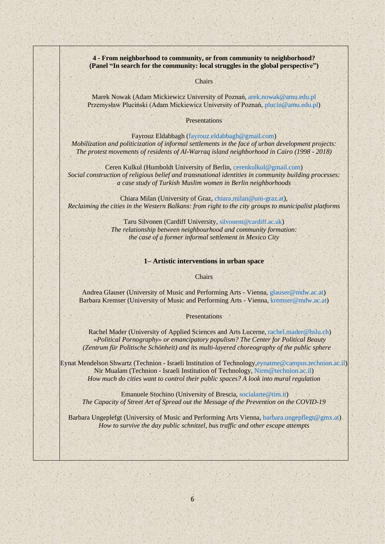**4 - From neighborhood to community, or from community to neighborhood? (Panel "In search for the community: local struggles in the global perspective")**

**Chairs** 

Marek Nowak (Adam Mickiewicz University of Poznań[, arek.nowak@amu.edu.pl](mailto:arek.nowak@amu.edu.pl) Przemysław Pluciński (Adam Mickiewicz University of Poznań, [plucin@amu.edu.pl\)](mailto:plucin@amu.edu.pl)

**Presentations** 

Fayrouz Eldabbagh [\(fayrouz.eldabbagh@gmail.com\)](mailto:fayrouz.eldabbagh@gmail.com) *Mobilization and politicization of informal settlements in the face of urban development projects: The protest movements of residents of Al-Warraq island neighborhood in Cairo (1998 - 2018)*

Ceren Kulkul (Humboldt University of Berlin[, cerenkulkul@gmail.com\)](mailto:cerenkulkul@gmail.com) *Social construction of religious belief and transnational identities in community building processes: a case study of Turkish Muslim women in Berlin neighborhoods*

Chiara Milan (University of Graz[, chiara.milan@uni-graz.at\)](mailto:chiara.milan@uni-graz.at), *Reclaiming the cities in the Western Balkans: from right to the city groups to municipalist platforms*

> Taru Silvonen (Cardiff University, [silvonent@cardiff.ac.uk](mailto:silvonent@cardiff.ac.uk)) *The relationship between neighbourhood and community formation: the case of a former informal settlement in Mexico City*

#### **1– Artistic interventions in urban space**

**Chairs** 

Andrea Glauser (University of Music and Performing Arts - Vienna, [glauser@mdw.ac.at\)](mailto:glauser@mdw.ac.at) Barbara Kremser (University of Music and Performing Arts - Vienna, [kremser@mdw.ac.at\)](mailto:kremser@mdw.ac.at)

**Presentations** 

Rachel Mader (University of Applied Sciences and Arts Lucerne, [rachel.mader@hslu.ch\)](mailto:rachel.mader@hslu.ch) *«Political Pornography» or emancipatory populism? The Center for Political Beauty (Zentrum für Politische Schönheit) and its multi-layered choreography of the public sphere*

Eynat Mendelson Shwartz (Technion - Israeli Institution of Technology[,eynatme@campus.technion.ac.il\)](mailto:eynatme@campus.technion.ac.il) Nir Mualam (Technion - Israeli Institution of Technology, [Nirm@technion.ac.il\)](mailto:Nirm@technion.ac.il) *How much do cities want to control their public spaces? A look into mural regulation*

Emanuele Stochino (University of Brescia, [socialarte@tim.it\)](mailto:socialarte@tim.it) *The Capacity of Street Art of Spread out the Message of the Prevention on the COVID-19* 

Barbara Ungeplefgt (University of Music and Performing Arts Vienna, [barbara.ungepflegt@gmx.at\)](mailto:barbara.ungepflegt@gmx.at) *How to survive the day public schnitzel, bus traffic and other escape attempts*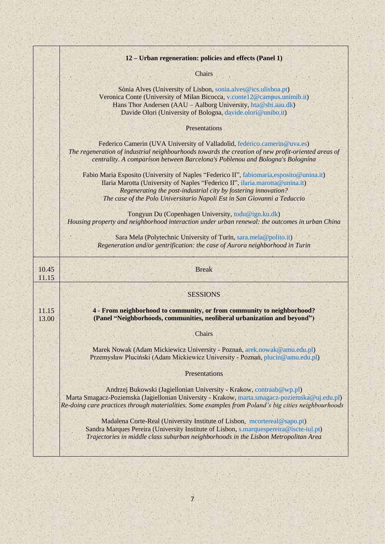|                | 12 – Urban regeneration: policies and effects (Panel 1)                                                                                                                                                                                                                                                               |
|----------------|-----------------------------------------------------------------------------------------------------------------------------------------------------------------------------------------------------------------------------------------------------------------------------------------------------------------------|
|                | Chairs                                                                                                                                                                                                                                                                                                                |
|                | Sònia Alves (University of Lisbon, sonia.alves@ics.ulisboa.pt)<br>Veronica Conte (University of Milan Bicocca, v.conte12@campus.unimib.it)<br>Hans Thor Andersen (AAU - Aalborg University, hta@sbi.aau.dk)<br>Davide Olori (University of Bologna, davide.olori@unibo.it)                                            |
|                | Presentations                                                                                                                                                                                                                                                                                                         |
|                | Federico Camerin (UVA University of Valladolid, federico.camerin@uva.es)<br>The regeneration of industrial neighbourhoods towards the creation of new profit-oriented areas of<br>centrality. A comparison between Barcelona's Poblenou and Bologna's Bolognina                                                       |
|                | Fabio Maria Esposito (University of Naples "Federico II", fabiomaria.esposito@unina.it)<br>Ilaria Marotta (University of Naples "Federico II", ilaria.marotta@unina.it)<br>Regenerating the post-industrial city by fostering innovation?<br>The case of the Polo Universitario Napoli Est in San Giovanni a Teduccio |
|                | Tongyun Du (Copenhagen University, todu@ign.ku.dk)<br>Housing property and neighborhood interaction under urban renewal: the outcomes in urban China                                                                                                                                                                  |
|                | Sara Mela (Polytechnic University of Turin, sara.mela@polito.it)<br>Regeneration and/or gentrification: the case of Aurora neighborhood in Turin                                                                                                                                                                      |
| 10.45<br>11.15 | <b>Break</b>                                                                                                                                                                                                                                                                                                          |
|                | <b>SESSIONS</b>                                                                                                                                                                                                                                                                                                       |
| 11.15<br>13.00 | 4 - From neighborhood to community, or from community to neighborhood?<br>(Panel "Neighborhoods, communities, neoliberal urbanization and beyond")                                                                                                                                                                    |
|                | Chairs                                                                                                                                                                                                                                                                                                                |
|                | Marek Nowak (Adam Mickiewicz University - Poznań, arek.nowak@amu.edu.pl)<br>Przemysław Pluciński (Adam Mickiewicz University - Poznań, plucin@amu.edu.pl)                                                                                                                                                             |
|                | Presentations                                                                                                                                                                                                                                                                                                         |
|                | Andrzej Bukowski (Jagiellonian University - Krakow, contraab@wp.pl)<br>Marta Smagacz-Poziemska (Jagiellonian University - Krakow, marta.smagacz-poziemska@uj.edu.pl)<br>Re-doing care practices through materialities. Some examples from Poland's big cities neighbourhoods                                          |
|                | Madalena Corte-Real (University Institute of Lisbon, mcortereal@sapo.pt)<br>Sandra Marques Pereira (University Institute of Lisbon, s.marquespereira@iscte-iul.pt)<br>Trajectories in middle class suburban neighborhoods in the Lisbon Metropolitan Area                                                             |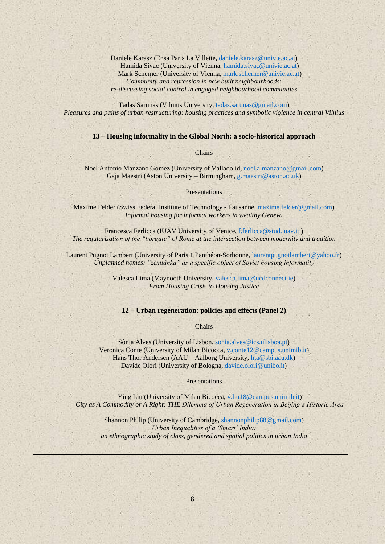Daniele Karasz (Ensa Paris La Villette, [daniele.karasz@univie.ac.at\)](mailto:daniele.karasz@univie.ac.at) Hamida Sivac (University of Vienna[, hamida.sivac@univie.ac.at\)](mailto:hamida.sivac@univie.ac.at) Mark Scherner (University of Vienna, [mark.scherner@univie.ac.at\)](mailto:mark.scherner@univie.ac.at) *Community and repression in new built neighbourhoods: re-discussing social control in engaged neighbourhood communities*

Tadas Sarunas (Vilnius University, [tadas.sarunas@gmail.com\)](mailto:tadas.sarunas@gmail.com) *Pleasures and pains of urban restructuring: housing practices and symbolic violence in central Vilnius*

**13 – Housing informality in the Global North: a socio-historical approach**

**Chairs** 

Noel Antonio Manzano Gòmez (University of Valladolid[, noel.a.manzano@gmail.com\)](mailto:noel.a.manzano@gmail.com) Gaja Maestri (Aston University – Birmingham, [g.maestri@aston.ac.uk\)](mailto:g.maestri@aston.ac.uk)

Presentations

Maxime Felder (Swiss Federal Institute of Technology - Lausanne, [maxime.felder@gmail.com\)](mailto:maxime.felder@gmail.com) *Informal housing for informal workers in wealthy Geneva*

Francesca Ferlicca (IUAV University of Venice[, f.ferlicca@stud.iuav.it](mailto:f.ferlicca@stud.iuav.it)) *The regularization of the "borgate" of Rome at the intersection between modernity and tradition* 

Laurent Pugnot Lambert (University of Paris 1 Panthéon-Sorbonne[, laurentpugnotlambert@yahoo.fr\)](mailto:laurentpugnotlambert@yahoo.fr) *Unplanned homes: "zemlânka" as a specific object of Soviet housing informality*

> Valesca Lima (Maynooth University, [valesca.lima@ucdconnect.ie\)](mailto:valesca.lima@ucdconnect.ie) *From Housing Crisis to Housing Justice*

#### **12 – Urban regeneration: policies and effects (Panel 2)**

**Chairs** 

Sònia Alves (University of Lisbon, [sonia.alves@ics.ulisboa.pt\)](mailto:sonia.alves@ics.ulisboa.pt) Veronica Conte (University of Milan Bicocca[, v.conte12@campus.unimib.it\)](mailto:v.conte12@campus.unimib.it) Hans Thor Andersen (AAU – Aalborg University, [hta@sbi.aau.dk\)](mailto:hta@sbi.aau.dk) Davide Olori (University of Bologna, [davide.olori@unibo.it\)](mailto:davide.olori@unibo.it)

**Presentations** 

Ying Liu (University of Milan Bicocca, [y.liu18@campus.unimib.it\)](mailto:y.liu18@campus.unimib.it) *City as A Commodity or A Right: THE Dilemma of Urban Regeneration in Beijing's Historic Area*

Shannon Philip (University of Cambridge, [shannonphilip88@gmail.com\)](mailto:shannonphilip88@gmail.com) *Urban Inequalities of a 'Smart' India: an ethnographic study of class, gendered and spatial politics in urban India*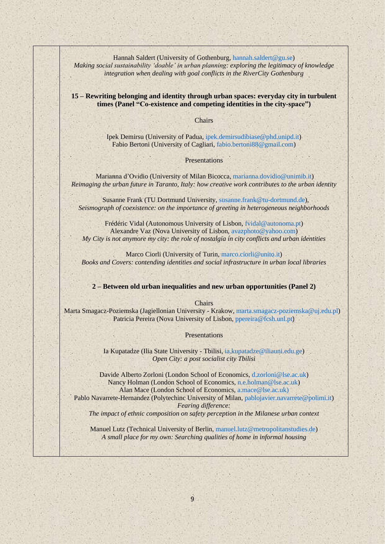Hannah Saldert (University of Gothenburg, [hannah.saldert@gu.se\)](mailto:hannah.saldert@gu.se) *Making social sustainability 'doable' in urban planning: exploring the legitimacy of knowledge integration when dealing with goal conflicts in the RiverCity Gothenburg*

**15 – Rewriting belonging and identity through urban spaces: everyday city in turbulent times (Panel "Co-existence and competing identities in the city-space")**

Chairs

Ipek Demirsu (University of Padua[, ipek.demirsudibiase@phd.unipd.it\)](mailto:ipek.demirsudibiase@phd.unipd.it) Fabio Bertoni (University of Cagliari, [fabio.bertoni88@gmail.com\)](mailto:fabio.bertoni88@gmail.com)

#### Presentations

Marianna d'Ovidio (University of Milan Bicocca, [marianna.dovidio@unimib.it\)](mailto:marianna.dovidio@unimib.it) *Reimaging the urban future in Taranto, Italy: how creative work contributes to the urban identity*

 Susanne Frank (TU Dortmund University[, susanne.frank@tu-dortmund.de\)](mailto:susanne.frank@tu-dortmund.de), *Seismograph of coexistence: on the importance of greeting in heterogeneous neighborhoods*

Frédéric Vidal (Autonomous University of Lisbon, [fvidal@autonoma.pt\)](mailto:fvidal@autonoma.pt) Alexandre Vaz (Nova University of Lisbon, [avazphoto@yahoo.com\)](mailto:avazphoto@yahoo.com) *My City is not anymore my city: the role of nostalgia in city conflicts and urban identities*

Marco Ciorli (University of Turin, [marco.ciorli@unito.it\)](mailto:marco.ciorli@unito.it) *Books and Covers: contending identities and social infrastructure in urban local libraries*

#### **2 – Between old urban inequalities and new urban opportunities (Panel 2)**

**Chairs** 

Marta Smagacz-Poziemska (Jagiellonian University - Krakow, [marta.smagacz-poziemska@uj.edu.pl\)](mailto:marta.smagacz-poziemska@uj.edu.pl) Patricia Pereira (Nova University of Lisbon, [ppereira@fcsh.unl.pt](mailto:ppereira@fcsh.unl.pt))

Presentations

Ia Kupatadze (Ilia State University - Tbilisi, [ia.kupatadze@iliauni.edu.ge\)](mailto:ia.kupatadze@iliauni.edu.ge) *Open City: a post socialist city Tbilisi*

Davide Alberto Zorloni (London School of Economics, [d.zorloni@lse.ac.uk\)](mailto:d.zorloni@lse.ac.uk) Nancy Holman (London School of Economics, [n.e.holman@lse.ac.uk\)](mailto:n.e.holman@lse.ac.uk) Alan Mace (London School of Economics, [a.mace@lse.ac.uk\)](mailto:a.mace@lse.ac.uk) Pablo Navarrete-Hernandez (Polytechinc University of Milan, [pablojavier.navarrete@polimi.it\)](mailto:pablojavier.navarrete@polimi.it)

*Fearing difference:* 

*The impact of ethnic composition on safety perception in the Milanese urban context* 

Manuel Lutz (Technical University of Berlin, [manuel.lutz@metropolitanstudies.de\)](mailto:manuel.lutz@metropolitanstudies.de) *A small place for my own: Searching qualities of home in informal housing*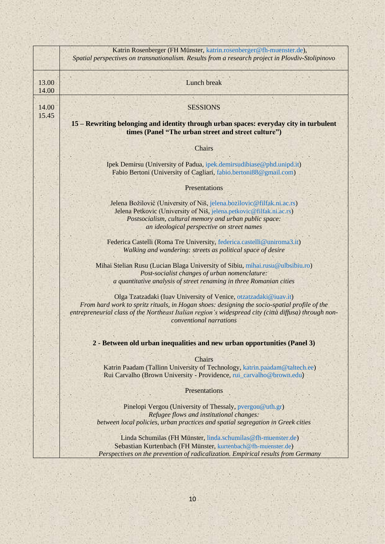|                | Katrin Rosenberger (FH Münster, katrin.rosenberger@fh-muenster.de),<br>Spatial perspectives on transnationalism. Results from a research project in Plovdiv-Stolipinovo                                                                                                                             |
|----------------|-----------------------------------------------------------------------------------------------------------------------------------------------------------------------------------------------------------------------------------------------------------------------------------------------------|
| 13.00<br>14.00 | Lunch break                                                                                                                                                                                                                                                                                         |
| 14.00<br>15.45 | <b>SESSIONS</b>                                                                                                                                                                                                                                                                                     |
|                | 15 - Rewriting belonging and identity through urban spaces: everyday city in turbulent<br>times (Panel "The urban street and street culture")                                                                                                                                                       |
|                | Chairs                                                                                                                                                                                                                                                                                              |
|                | Ipek Demirsu (University of Padua, ipek.demirsudibiase@phd.unipd.it)<br>Fabio Bertoni (University of Cagliari, fabio.bertoni88@gmail.com)                                                                                                                                                           |
|                | Presentations                                                                                                                                                                                                                                                                                       |
|                | Jelena Božilović (University of Niš, jelena bozilovic@filfak.ni.ac.rs)<br>Jelena Petkovic (University of Niš, jelena.petkovic@filfak.ni.ac.rs)<br>Postsocialism, cultural memory and urban public space:<br>an ideological perspective on street names                                              |
|                | Federica Castelli (Roma Tre University, federica.castelli@uniroma3.it)<br>Walking and wandering: streets as political space of desire                                                                                                                                                               |
|                | Mihai Stelian Rusu (Lucian Blaga University of Sibiu, mihai.rusu@ulbsibiu.ro)<br>Post-socialist changes of urban nomenclature:<br>a quantitative analysis of street renaming in three Romanian cities                                                                                               |
|                | Olga Tzatzadaki (Iuav University of Venice, otzatzadaki@iuav.it)<br>From hard work to spritz rituals, in Hogan shoes: designing the socio-spatial profile of the<br>entrepreneurial class of the Northeast Italian region's widespread city (città diffusa) through non-<br>conventional narrations |
|                | 2 - Between old urban inequalities and new urban opportunities (Panel 3)                                                                                                                                                                                                                            |
|                | Chairs<br>Katrin Paadam (Tallinn University of Technology, katrin.paadam@taltech.ee)<br>Rui Carvalho (Brown University - Providence, rui_carvalho@brown.edu)                                                                                                                                        |
|                | Presentations                                                                                                                                                                                                                                                                                       |
|                | Pinelopi Vergou (University of Thessaly, pvergou@uth.gr)<br>Refugee flows and institutional changes:<br>between local policies, urban practices and spatial segregation in Greek cities                                                                                                             |
|                | Linda Schumilas (FH Münster, linda.schumilas@fh-muenster.de)<br>Sebastian Kurtenbach (FH Münster, kurtenbach@fh-muenster.de)<br>Perspectives on the prevention of radicalization. Empirical results from Germany                                                                                    |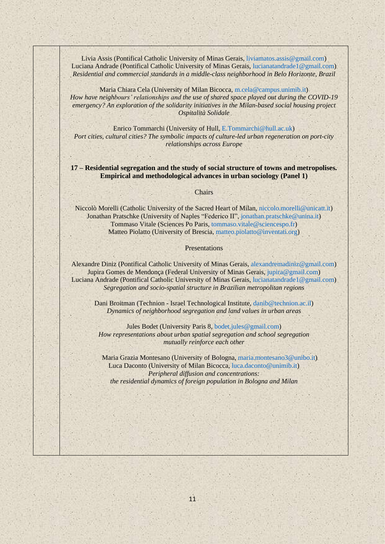Livia Assis (Pontifical Catholic University of Minas Gerais, [liviamatos.assis@gmail.com\)](mailto:liviamatos.assis@gmail.com) Luciana Andrade (Pontifical Catholic University of Minas Gerais, [lucianatandrade1@gmail.com\)](mailto:lucianatandrade1@gmail.com) *Residential and commercial standards in a middle-class neighborhood in Belo Horizonte, Brazil*

Maria Chiara Cela (University of Milan Bicocca, [m.cela@campus.unimib.it\)](mailto:m.cela@campus.unimib.it) *How have neighbours' relationships and the use of shared space played out during the COVID-19 emergency? An exploration of the solidarity initiatives in the Milan-based social housing project Ospitalità Solidale*

Enrico Tommarchi (University of Hull, [E.Tommarchi@hull.ac.uk\)](mailto:E.Tommarchi@hull.ac.uk) *Port cities, cultural cities? The symbolic impacts of culture-led urban regeneration on port-city relationships across Europe*

#### **17 – Residential segregation and the study of social structure of towns and metropolises. Empirical and methodological advances in urban sociology (Panel 1)**

#### Chairs

Niccolò Morelli (Catholic University of the Sacred Heart of Milan[, niccolo.morelli@unicatt.it\)](mailto:niccolo.morelli@unicatt.it) Jonathan Pratschke (University of Naples "Federico II", [jonathan.pratschke@unina.it\)](mailto:jonathan.pratschke@unina.it) Tommaso Vitale (Sciences Po Paris, [tommaso.vitale@sciencespo.fr\)](mailto:tommaso.vitale@sciencespo.fr) Matteo Piolatto (University of Brescia[, matteo.piolatto@inventati.org\)](mailto:matteo.piolatto@inventati.org)

#### Presentations

Alexandre Diniz (Pontifical Catholic University of Minas Gerais, [alexandremadiniz@gmail.com\)](mailto:alexandremadiniz@gmail.com) Jupira Gomes de Mendonça (Federal University of Minas Gerais, [jupira@gmail.com\)](mailto:jupira@gmail.com) Luciana Andrade (Pontifical Catholic University of Minas Gerais, [lucianatandrade1@gmail.com\)](mailto:lucianatandrade1@gmail.com) *Segregation and socio-spatial structure in Brazilian metropolitan regions*

Dani Broitman (Technion - Israel Technological Institute, [danib@technion.ac.il\)](mailto:danib@technion.ac.il) *Dynamics of neighborhood segregation and land values in urban areas*

Jules Bodet (University Paris 8, [bodet.jules@gmail.com\)](mailto:bodet.jules@gmail.com) *How representations about urban spatial segregation and school segregation mutually reinforce each other*

Maria Grazia Montesano (University of Bologna, [maria.montesano3@unibo.it\)](mailto:maria.montesano3@unibo.it) Luca Daconto (University of Milan Bicocca, [luca.daconto@unimib.it\)](mailto:luca.daconto@unimib.it) *Peripheral diffusion and concentrations: the residential dynamics of foreign population in Bologna and Milan*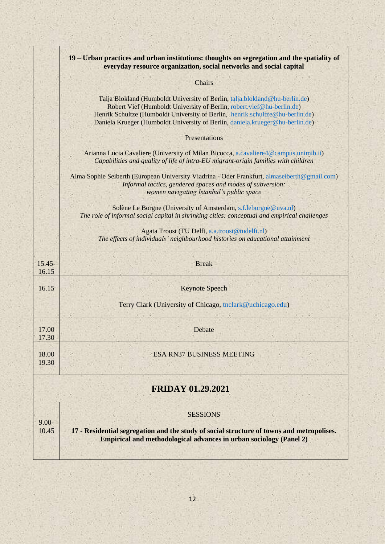|                          | 19 – Urban practices and urban institutions: thoughts on segregation and the spatiality of<br>everyday resource organization, social networks and social capital                                                                                                                                                       |
|--------------------------|------------------------------------------------------------------------------------------------------------------------------------------------------------------------------------------------------------------------------------------------------------------------------------------------------------------------|
|                          | <b>Chairs</b>                                                                                                                                                                                                                                                                                                          |
|                          | Talja Blokland (Humboldt University of Berlin, talja.blokland@hu-berlin.de)<br>Robert Vief (Humboldt University of Berlin, robert.vief@hu-berlin.de)<br>Henrik Schultze (Humboldt University of Berlin, henrik.schultze@hu-berlin.de)<br>Daniela Krueger (Humboldt University of Berlin, daniela.krueger@hu-berlin.de) |
|                          | Presentations                                                                                                                                                                                                                                                                                                          |
|                          | Arianna Lucia Cavaliere (University of Milan Bicocca, a.cavaliere4@campus.unimib.it)<br>Capabilities and quality of life of intra-EU migrant-origin families with children                                                                                                                                             |
|                          | Alma Sophie Seiberth (European University Viadrina - Oder Frankfurt, almaseiberth@gmail.com)<br>Informal tactics, gendered spaces and modes of subversion:<br>women navigating Istanbul's public space                                                                                                                 |
|                          | Solène Le Borgne (University of Amsterdam, s.f.leborgne@uva.nl)<br>The role of informal social capital in shrinking cities: conceptual and empirical challenges                                                                                                                                                        |
|                          | Agata Troost (TU Delft, a.a.troost@tudelft.nl)<br>The effects of individuals' neighbourhood histories on educational attainment                                                                                                                                                                                        |
| $15.45 -$<br>16.15       | <b>Break</b>                                                                                                                                                                                                                                                                                                           |
| 16.15                    | <b>Keynote Speech</b>                                                                                                                                                                                                                                                                                                  |
|                          | Terry Clark (University of Chicago, tnclark@uchicago.edu)                                                                                                                                                                                                                                                              |
| 17.00<br>17.30           | Debate                                                                                                                                                                                                                                                                                                                 |
| 18.00<br>19.30           | <b>ESA RN37 BUSINESS MEETING</b>                                                                                                                                                                                                                                                                                       |
| <b>FRIDAY 01.29.2021</b> |                                                                                                                                                                                                                                                                                                                        |
| $9.00 -$<br>10.45        | <b>SESSIONS</b><br>17 - Residential segregation and the study of social structure of towns and metropolises.<br><b>Empirical and methodological advances in urban sociology (Panel 2)</b>                                                                                                                              |
|                          |                                                                                                                                                                                                                                                                                                                        |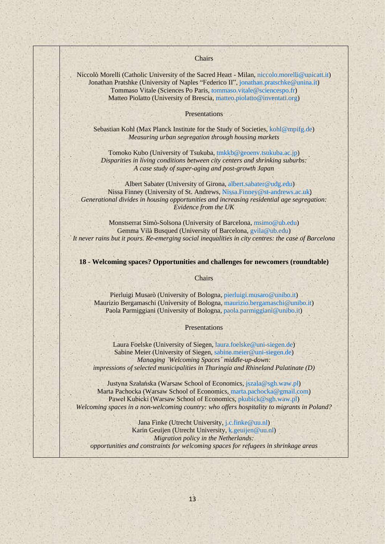Chairs

Niccolò Morelli (Catholic University of the Sacred Heart - Milan, [niccolo.morelli@unicatt.it\)](mailto:niccolo.morelli@unicatt.it) Jonathan Pratshke (University of Naples "Federico II", [jonathan.pratschke@unina.it\)](mailto:jonathan.pratschke@unina.it) Tommaso Vitale (Sciences Po Paris, [tommaso.vitale@sciencespo.fr\)](mailto:tommaso.vitale@sciencespo.fr) Matteo Piolatto (University of Brescia[, matteo.piolatto@inventati.org\)](mailto:matteo.piolatto@inventati.org)

**Presentations** 

Sebastian Kohl (Max Planck Institute for the Study of Societies[, kohl@mpifg.de\)](mailto:kohl@mpifg.de) *Measuring urban segregation through housing markets*

Tomoko Kubo (University of Tsukuba, [tmkkb@geoenv.tsukuba.ac.jp\)](mailto:tmkkb@geoenv.tsukuba.ac.jp) *Disparities in living conditions between city centers and shrinking suburbs: A case study of super-aging and post-growth Japan*

Albert Sabater (University of Girona, [albert.sabater@udg.edu\)](mailto:albert.sabater@udg.edu) Nissa Finney (University of St. Andrews[, Nissa.Finney@st-andrews.ac.uk](mailto:Nissa.Finney@st-andrews.ac.uk)) *Generational divides in housing opportunities and increasing residential age segregation: Evidence from the UK*

Monstserrat Simò-Solsona (University of Barcelona, [msimo@ub.edu\)](mailto:msimo@ub.edu) Gemma Vilà Busqued (University of Barcelona, [gvila@ub.edu\)](mailto:gvila@ub.edu) *It never rains but it pours. Re-emerging social inequalities in city centres: the case of Barcelona*

**18 - Welcoming spaces? Opportunities and challenges for newcomers (roundtable)**

**Chairs** 

Pierluigi Musarò (University of Bologna, [pierluigi.musaro@unibo.it\)](mailto:pierluigi.musaro@unibo.it) Maurizio Bergamaschi (University of Bologna, [maurizio.bergamaschi@unibo.it\)](mailto:maurizio.bergamaschi@unibo.it) Paola Parmiggiani (University of Bologna, [paola.parmiggiani@unibo.it\)](mailto:paola.parmiggiani@unibo.it)

Presentations

Laura Foelske (University of Siegen[, laura.foelske@uni-siegen.de\)](mailto:laura.foelske@uni-siegen.de) Sabine Meier (University of Siegen, [sabine.meier@uni-siegen.de\)](mailto:sabine.meier@uni-siegen.de) *Managing ´Welcoming Spaces´ middle-up-down: impressions of selected municipalities in Thuringia and Rhineland Palatinate (D)*

Justyna Szałańska (Warsaw School of Economics, [jszala@sgh.waw.pl\)](mailto:jszala@sgh.waw.pl) Marta Pachocka (Warsaw School of Economics[, marta.pachocka@gmail.com\)](mailto:marta.pachocka@gmail.com) Paweł Kubicki (Warsaw School of Economics, [pkubick@sgh.waw.pl\)](mailto:pkubick@sgh.waw.pl)

*Welcoming spaces in a non-welcoming country: who offers hospitality to migrants in Poland?*

Jana Finke (Utrecht University, [j.c.finke@uu.nl\)](mailto:j.c.finke@uu.nl) Karin Geuijen (Utrecht University, [k.geuijen@uu.nl\)](mailto:k.geuijen@uu.nl) *Migration policy in the Netherlands: opportunities and constraints for welcoming spaces for refugees in shrinkage areas*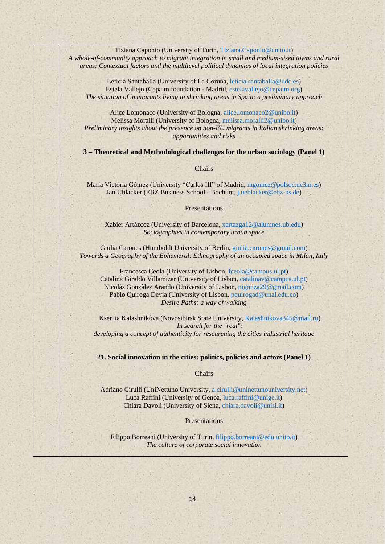Tiziana Caponio (University of Turin, [Tiziana.Caponio@unito.it\)](mailto:Tiziana.Caponio@unito.it) *A whole-of-community approach to migrant integration in small and medium-sized towns and rural areas: Contextual factors and the multilevel political dynamics of local integration policies*

Leticia Santaballa (University of La Coruña, [leticia.santaballa@udc.es\)](mailto:leticia.santaballa@udc.es) Estela Vallejo (Cepaim foundation - Madrid[, estelavallejo@cepaim.org\)](mailto:estelavallejo@cepaim.org) *The situation of immigrants living in shrinking areas in Spain: a preliminary approach*

Alice Lomonaco (University of Bologna, [alice.lomonaco2@unibo.it\)](mailto:alice.lomonaco2@unibo.it) Melissa Moralli (University of Bologna, [melissa.moralli2@unibo.it\)](mailto:melissa.moralli2@unibo.it) *Preliminary insights about the presence on non-EU migrants in Italian shrinking areas: opportunities and risks*

**3 – Theoretical and Methodological challenges for the urban sociology (Panel 1)**

#### Chairs

Maria Victoria Gómez (University "Carlos III" of Madrid, [mgomez@polsoc.uc3m.es\)](mailto:mgomez@polsoc.uc3m.es) Jan Üblacker (EBZ Business School - Bochum, [j.ueblacker@ebz-bs.de\)](mailto:j.ueblacker@ebz-bs.de)

Presentations

Xabier Artàzcoz (University of Barcelona, [xartazga12@alumnes.ub.edu\)](mailto:xartazga12@alumnes.ub.edu) *Sociographies in contemporary urban space*

Giulia Carones (Humboldt University of Berlin, [giulia.carones@gmail.com\)](mailto:giulia.carones@gmail.com) *Towards a Geography of the Ephemeral: Ethnography of an occupied space in Milan, Italy*

Francesca Ceola (University of Lisbon, [fceola@campus.ul.pt\)](mailto:fceola@campus.ul.pt) Catalina Giraldo Villamizar (University of Lisbon, [catalinav@campus.ul.pt\)](mailto:catalinav@campus.ul.pt) Nicolàs Gonzàlez Arando (University of Lisbon, [nigonza29@gmail.com\)](mailto:nigonza29@gmail.com) Pablo Quiroga Devia (University of Lisbon, [pquirogad@unal.edu.co\)](mailto:pquirogad@unal.edu.co) *Desire Paths: a way of walking*

Kseniia Kalashnikova (Novosibirsk State University, [Kalashnikova345@mail.ru\)](mailto:Kalashnikova345@mail.ru) *In search for the "real": developing a concept of authenticity for researching the cities industrial heritage*

**21. Social innovation in the cities: politics, policies and actors (Panel 1)**

**Chairs** 

Adriano Cirulli (UniNettuno University[, a.cirulli@uninettunouniversity.net\)](mailto:a.cirulli@uninettunouniversity.net) Luca Raffini (University of Genoa, [luca.raffini@unige.it\)](mailto:luca.raffini@unige.it) Chiara Davoli (University of Siena, [chiara.davoli@unisi.it\)](mailto:chiara.davoli@unisi.it)

Presentations

Filippo Borreani (University of Turin[, filippo.borreani@edu.unito.it\)](mailto:filippo.borreani@edu.unito.it) *The culture of corporate social innovation*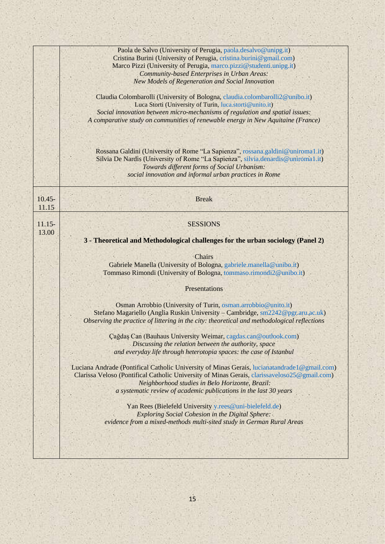|                    | Paola de Salvo (University of Perugia, paola.desalvo@unipg.it)                                |
|--------------------|-----------------------------------------------------------------------------------------------|
|                    | Cristina Burini (University of Perugia, cristina.burini@gmail.com)                            |
|                    | Marco Pizzi (University of Perugia, marco.pizzi@studenti.unipg.it)                            |
|                    | Community-based Enterprises in Urban Areas:                                                   |
|                    | New Models of Regeneration and Social Innovation                                              |
|                    | Claudia Colombarolli (University of Bologna, claudia.colombarolli2@unibo.it)                  |
|                    | Luca Storti (University of Turin, luca.storti@unito.it)                                       |
|                    | Social innovation between micro-mechanisms of regulation and spatial issues:                  |
|                    | A comparative study on communities of renewable energy in New Aquitaine (France)              |
|                    |                                                                                               |
|                    | Rossana Galdini (University of Rome "La Sapienza", rossana.galdini@uniroma1.it)               |
|                    | Silvia De Nardis (University of Rome "La Sapienza", silvia.denardis@uniroma1.it)              |
|                    | Towards different forms of Social Urbanism:                                                   |
|                    | social innovation and informal urban practices in Rome                                        |
|                    |                                                                                               |
| $10.45 -$<br>11.15 | <b>Break</b>                                                                                  |
|                    |                                                                                               |
| $11.15-$           | <b>SESSIONS</b>                                                                               |
| 13.00              |                                                                                               |
|                    | 3 - Theoretical and Methodological challenges for the urban sociology (Panel 2)               |
|                    | <b>Chairs</b>                                                                                 |
|                    | Gabriele Manella (University of Bologna, gabriele.manella@unibo.it)                           |
|                    | Tommaso Rimondi (University of Bologna, tommaso.rimondi2@unibo.it)                            |
|                    | Presentations                                                                                 |
|                    |                                                                                               |
|                    | Osman Arrobbio (University of Turin, osman.arrobbio@unito.it)                                 |
|                    | Stefano Magariello (Anglia Ruskin University - Cambridge, sm2242@pgr.aru.ac.uk)               |
|                    | Observing the practice of littering in the city: theoretical and methodological reflections   |
|                    | Çağdaş Can (Bauhaus University Weimar, cagdas.can@outlook.com)                                |
|                    | Discussing the relation between the authority, space                                          |
|                    | and everyday life through heterotopia spaces: the case of Istanbul                            |
|                    | Luciana Andrade (Pontifical Catholic University of Minas Gerais, lucianatandrade 1@gmail.com) |
|                    | Clarissa Veloso (Pontifical Catholic University of Minas Gerais, clarissaveloso25@gmail.com)  |
|                    | Neighborhood studies in Belo Horizonte, Brazil:                                               |
|                    | a systematic review of academic publications in the last 30 years                             |
|                    |                                                                                               |
|                    | Yan Rees (Bielefeld University y.rees@uni-bielefeld.de)                                       |
|                    | <b>Exploring Social Cohesion in the Digital Sphere:</b>                                       |
|                    | evidence from a mixed-methods multi-sited study in German Rural Areas                         |
|                    |                                                                                               |
|                    |                                                                                               |
|                    |                                                                                               |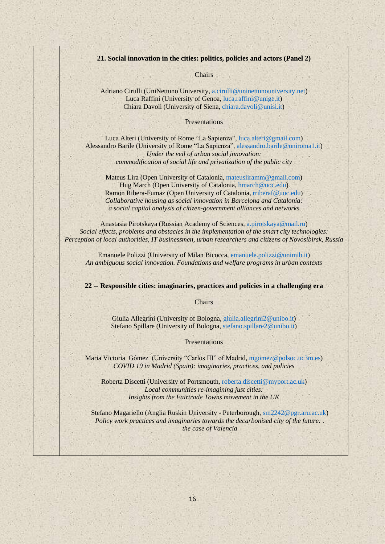#### **21. Social innovation in the cities: politics, policies and actors (Panel 2)**

**Chairs** 

Adriano Cirulli (UniNettuno University[, a.cirulli@uninettunouniversity.net\)](mailto:a.cirulli@uninettunouniversity.net) Luca Raffini (University of Genoa, [luca.raffini@unige.it\)](mailto:luca.raffini@unige.it) Chiara Davoli (University of Siena, [chiara.davoli@unisi.it\)](mailto:chiara.davoli@unisi.it)

#### Presentations

Luca Alteri (University of Rome "La Sapienza", [luca.alteri@gmail.com\)](mailto:luca.alteri@gmail.com) Alessandro Barile (University of Rome "La Sapienza", [alessandro.barile@uniroma1.it\)](mailto:alessandro.barile@uniroma1.it) *Under the veil of urban social innovation: commodification of social life and privatization of the public city*

Mateus Lira (Open University of Catalonia[, mateusliramm@gmail.com\)](mailto:mateusliramm@gmail.com) Hug March (Open University of Catalonia, [hmarch@uoc.edu\)](mailto:hmarch@uoc.edu) Ramon Ribera-Fumaz (Open University of Catalonia, [rriberaf@uoc.edu](mailto:rriberaf@uoc.edu)) *Collaborative housing as social innovation in Barcelona and Catalonia: a social capital analysis of citizen-government alliances and networks*

Anastasia Pirotskaya (Russian Academy of Sciences, [a.pirotskaya@mail.ru\)](mailto:a.pirotskaya@mail.ru) *Social effects, problems and obstacles in the implementation of the smart city technologies: Perception of local authorities, IT businessmen, urban researchers and citizens of Novosibirsk, Russia*

Emanuele Polizzi (University of Milan Bicocca[, emanuele.polizzi@unimib.it\)](mailto:emanuele.polizzi@unimib.it) *An ambiguous social innovation. Foundations and welfare programs in urban contexts*

#### **22 -- Responsible cities: imaginaries, practices and policies in a challenging era**

#### **Chairs**

Giulia Allegrini (University of Bologna, [giulia.allegrini2@unibo.it\)](mailto:giulia.allegrini2@unibo.it) Stefano Spillare (University of Bologna, [stefano.spillare2@unibo.it\)](mailto:stefano.spillare2@unibo.it)

#### Presentations

Maria Victoria Gómez (University "Carlos III" of Madrid, [mgomez@polsoc.uc3m.es\)](mailto:mgomez@polsoc.uc3m.es) *COVID 19 in Madrid (Spain): imaginaries, practices, and policies*

Roberta Discetti (University of Portsmouth, [roberta.discetti@myport.ac.uk\)](mailto:roberta.discetti@myport.ac.uk) *Local communities re-imagining just cities: Insights from the Fairtrade Towns movement in the UK*

Stefano Magariello (Anglia Ruskin University - Peterborough, [sm2242@pgr.aru.ac.uk\)](mailto:sm2242@pgr.aru.ac.uk) *Policy work practices and imaginaries towards the decarbonised city of the future: . the case of Valencia*